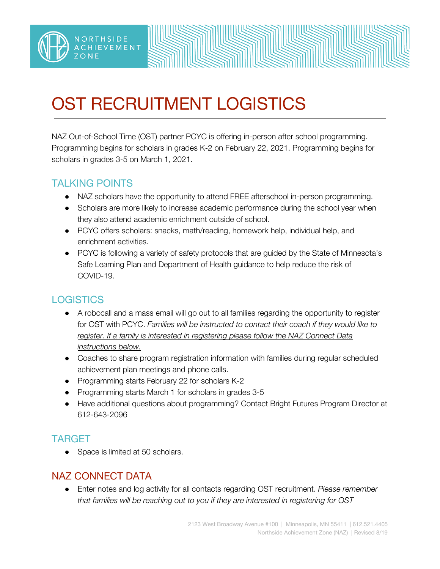# OST RECRUITMENT LOGISTICS

NAZ Out-of-School Time (OST) partner PCYC is offering in-person after school programming. Programming begins for scholars in grades K-2 on February 22, 2021. Programming begins for scholars in grades 3-5 on March 1, 2021.

## TALKING POINTS

NORTHSIDE

**IEVEMENT** 

- NAZ scholars have the opportunity to attend FREE afterschool in-person programming.
- Scholars are more likely to increase academic performance during the school year when they also attend academic enrichment outside of school.
- PCYC offers scholars: snacks, math/reading, homework help, individual help, and enrichment activities.
- PCYC is following a variety of safety protocols that are guided by the State of Minnesota's Safe Learning Plan and Department of Health guidance to help reduce the risk of COVID-19.

## **LOGISTICS**

- A robocall and a mass email will go out to all families regarding the opportunity to register for OST with PCYC. *Families will be instructed to contact their coach if they would like to register. If a family is interested in registering please follow the NAZ Connect Data instructions below.*
- Coaches to share program registration information with families during regular scheduled achievement plan meetings and phone calls.
- Programming starts February 22 for scholars K-2
- Programming starts March 1 for scholars in grades 3-5
- Have additional questions about programming? Contact Bright Futures Program Director at 612-643-2096

## TARGET

• Space is limited at 50 scholars.

#### NAZ CONNECT DATA

● Enter notes and log activity for all contacts regarding OST recruitment. *Please remember that families will be reaching out to you if they are interested in registering for OST*